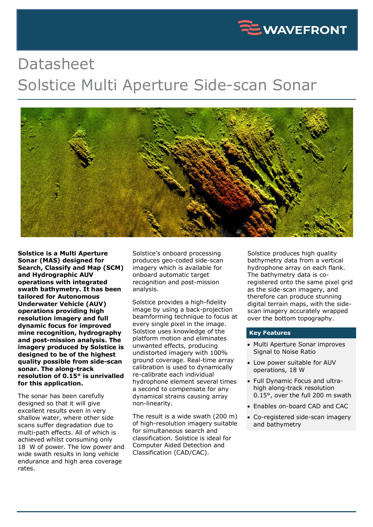

## Datasheet Solstice Multi Aperture Side-scan Sonar



**Solstice is a Multi Aperture Sonar (MAS) designed for Search, Classify and Map (SCM) and Hydrographic AUV operations with integrated swath bathymetry. It has been tailored for Autonomous Underwater Vehicle (AUV) operations providing high resolution imagery and full dynamic focus for improved mine recognition, hydrography and post-mission analysis. The imagery produced by Solstice is designed to be of the highest quality possible from side-scan sonar. The along-track resolution of 0.15° is unrivalled for this application.**

The sonar has been carefully designed so that it will give excellent results even in very shallow water, where other side scans suffer degradation due to multi-path effects. All of which is achieved whilst consuming only 18 W of power. The low power and wide swath results in long vehicle endurance and high area coverage rates.

Solstice's onboard processing produces geo-coded side-scan imagery which is available for onboard automatic target recognition and post-mission analysis.

Solstice provides a high-fidelity image by using a back-projection beamforming technique to focus at every single pixel in the image. Solstice uses knowledge of the platform motion and eliminates unwanted effects, producing undistorted imagery with 100% ground coverage. Real-time array calibration is used to dynamically re-calibrate each individual hydrophone element several times a second to compensate for any dynamical strains causing array non-linearity.

The result is a wide swath (200 m) of high-resolution imagery suitable for simultaneous search and classification. Solstice is ideal for Computer Aided Detection and Classification (CAD/CAC).

Solstice produces high quality bathymetry data from a vertical hydrophone array on each flank. The bathymetry data is coregistered onto the same pixel grid as the side-scan imagery, and therefore can produce stunning digital terrain maps, with the sidescan imagery accurately wrapped over the bottom topography.

## **Key Features**

- Multi Aperture Sonar improves Signal to Noise Ratio
- Low power suitable for AUV operations, 18 W
- Full Dynamic Focus and ultrahigh along-track resolution 0.15°, over the full 200 m swath
- Enables on-board CAD and CAC
- Co-registered side-scan imagery and bathymetry